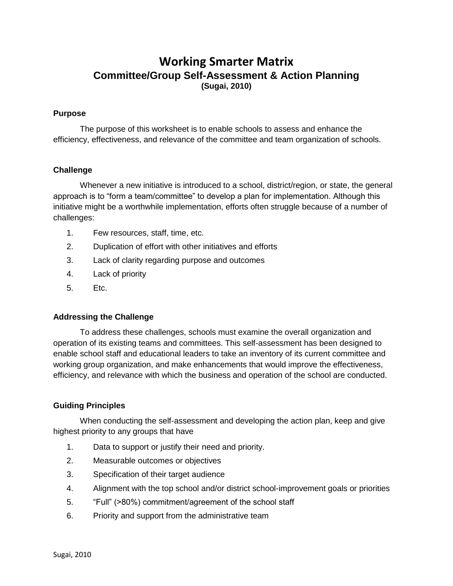# **Working Smarter Matrix Committee/Group Self-Assessment & Action Planning (Sugai, 2010)**

#### **Purpose**

The purpose of this worksheet is to enable schools to assess and enhance the efficiency, effectiveness, and relevance of the committee and team organization of schools.

### **Challenge**

Whenever a new initiative is introduced to a school, district/region, or state, the general approach is to "form a team/committee" to develop a plan for implementation. Although this initiative might be a worthwhile implementation, efforts often struggle because of a number of challenges:

- 1. Few resources, staff, time, etc.
- 2. Duplication of effort with other initiatives and efforts
- 3. Lack of clarity regarding purpose and outcomes
- 4. Lack of priority
- 5. Etc.

#### **Addressing the Challenge**

To address these challenges, schools must examine the overall organization and operation of its existing teams and committees. This self-assessment has been designed to enable school staff and educational leaders to take an inventory of its current committee and working group organization, and make enhancements that would improve the effectiveness, efficiency, and relevance with which the business and operation of the school are conducted.

#### **Guiding Principles**

When conducting the self-assessment and developing the action plan, keep and give highest priority to any groups that have

- 1. Data to support or justify their need and priority.
- 2. Measurable outcomes or objectives
- 3. Specification of their target audience
- 4. Alignment with the top school and/or district school-improvement goals or priorities
- 5. "Full" (>80%) commitment/agreement of the school staff
- 6. Priority and support from the administrative team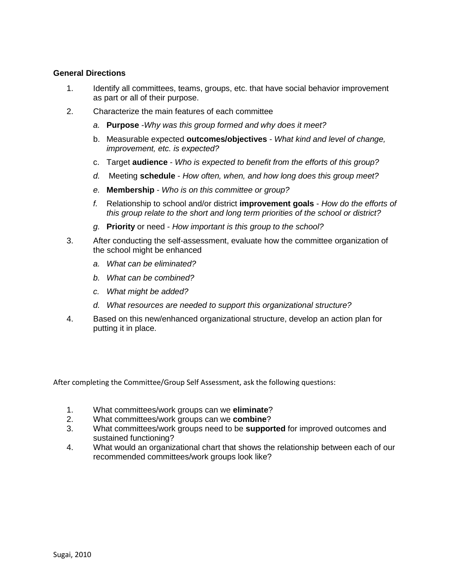## **General Directions**

- 1. Identify all committees, teams, groups, etc. that have social behavior improvement as part or all of their purpose.
- 2. Characterize the main features of each committee
	- *a.* **Purpose** -*Why was this group formed and why does it meet?*
	- b. Measurable expected **outcomes/objectives** *What kind and level of change, improvement, etc. is expected?*
	- c. Target **audience** *Who is expected to benefit from the efforts of this group?*
	- *d.* Meeting **schedule** *How often, when, and how long does this group meet?*
	- *e.* **Membership** *Who is on this committee or group?*
	- *f.* Relationship to school and/or district **improvement goals** *How do the efforts of this group relate to the short and long term priorities of the school or district?*
	- *g.* **Priority** or need *How important is this group to the school?*
- 3. After conducting the self-assessment, evaluate how the committee organization of the school might be enhanced
	- *a. What can be eliminated?*
	- *b. What can be combined?*
	- *c. What might be added?*
	- *d. What resources are needed to support this organizational structure?*
- 4. Based on this new/enhanced organizational structure, develop an action plan for putting it in place.

After completing the Committee/Group Self Assessment, ask the following questions:

- 1. What committees/work groups can we **eliminate**?
- 2. What committees/work groups can we **combine**?
- 3. What committees/work groups need to be **supported** for improved outcomes and sustained functioning?
- 4. What would an organizational chart that shows the relationship between each of our recommended committees/work groups look like?